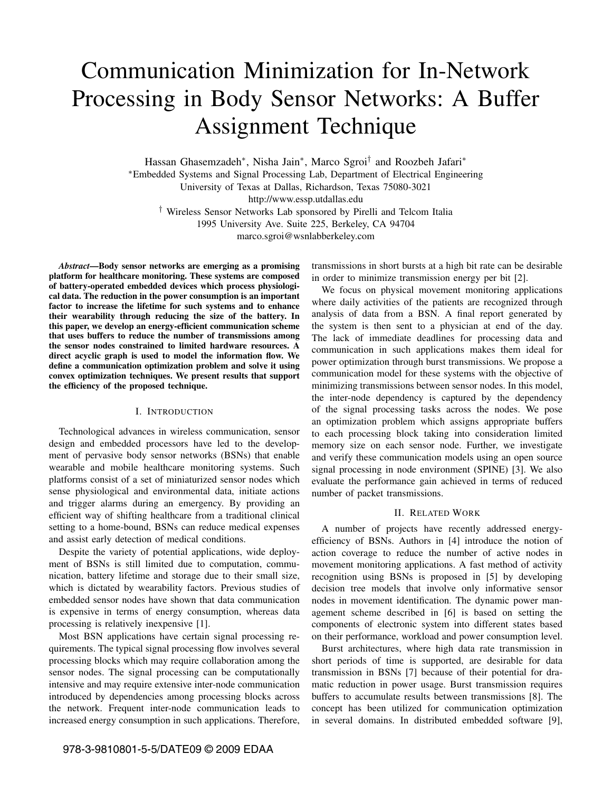# Communication Minimization for In-Network Processing in Body Sensor Networks: A Buffer Assignment Technique

Hassan Ghasemzadeh∗, Nisha Jain∗, Marco Sgroi† and Roozbeh Jafari∗ ∗Embedded Systems and Signal Processing Lab, Department of Electrical Engineering University of Texas at Dallas, Richardson, Texas 75080-3021 http://www.essp.utdallas.edu † Wireless Sensor Networks Lab sponsored by Pirelli and Telcom Italia 1995 University Ave. Suite 225, Berkeley, CA 94704

marco.sgroi@wsnlabberkeley.com

*Abstract*—Body sensor networks are emerging as a promising platform for healthcare monitoring. These systems are composed of battery-operated embedded devices which process physiological data. The reduction in the power consumption is an important factor to increase the lifetime for such systems and to enhance their wearability through reducing the size of the battery. In this paper, we develop an energy-efficient communication scheme that uses buffers to reduce the number of transmissions among the sensor nodes constrained to limited hardware resources. A direct acyclic graph is used to model the information flow. We define a communication optimization problem and solve it using convex optimization techniques. We present results that support the efficiency of the proposed technique.

## I. INTRODUCTION

Technological advances in wireless communication, sensor design and embedded processors have led to the development of pervasive body sensor networks (BSNs) that enable wearable and mobile healthcare monitoring systems. Such platforms consist of a set of miniaturized sensor nodes which sense physiological and environmental data, initiate actions and trigger alarms during an emergency. By providing an efficient way of shifting healthcare from a traditional clinical setting to a home-bound, BSNs can reduce medical expenses and assist early detection of medical conditions.

Despite the variety of potential applications, wide deployment of BSNs is still limited due to computation, communication, battery lifetime and storage due to their small size, which is dictated by wearability factors. Previous studies of embedded sensor nodes have shown that data communication is expensive in terms of energy consumption, whereas data processing is relatively inexpensive [1].

Most BSN applications have certain signal processing requirements. The typical signal processing flow involves several processing blocks which may require collaboration among the sensor nodes. The signal processing can be computationally intensive and may require extensive inter-node communication introduced by dependencies among processing blocks across the network. Frequent inter-node communication leads to increased energy consumption in such applications. Therefore,

transmissions in short bursts at a high bit rate can be desirable in order to minimize transmission energy per bit [2].

We focus on physical movement monitoring applications where daily activities of the patients are recognized through analysis of data from a BSN. A final report generated by the system is then sent to a physician at end of the day. The lack of immediate deadlines for processing data and communication in such applications makes them ideal for power optimization through burst transmissions. We propose a communication model for these systems with the objective of minimizing transmissions between sensor nodes. In this model, the inter-node dependency is captured by the dependency of the signal processing tasks across the nodes. We pose an optimization problem which assigns appropriate buffers to each processing block taking into consideration limited memory size on each sensor node. Further, we investigate and verify these communication models using an open source signal processing in node environment (SPINE) [3]. We also evaluate the performance gain achieved in terms of reduced number of packet transmissions.

## II. RELATED WORK

A number of projects have recently addressed energyefficiency of BSNs. Authors in [4] introduce the notion of action coverage to reduce the number of active nodes in movement monitoring applications. A fast method of activity recognition using BSNs is proposed in [5] by developing decision tree models that involve only informative sensor nodes in movement identification. The dynamic power management scheme described in [6] is based on setting the components of electronic system into different states based on their performance, workload and power consumption level.

Burst architectures, where high data rate transmission in short periods of time is supported, are desirable for data transmission in BSNs [7] because of their potential for dramatic reduction in power usage. Burst transmission requires buffers to accumulate results between transmissions [8]. The concept has been utilized for communication optimization in several domains. In distributed embedded software [9],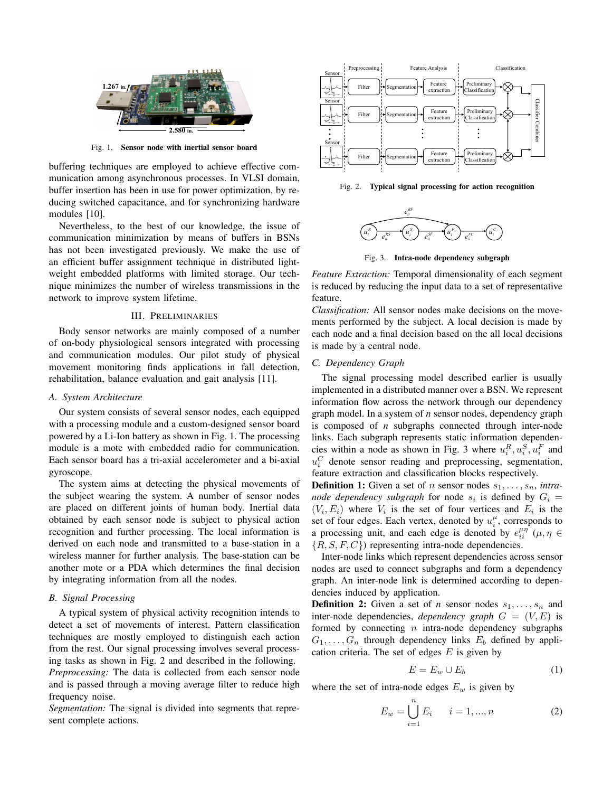

Fig. 1. Sensor node with inertial sensor board

buffering techniques are employed to achieve effective communication among asynchronous processes. In VLSI domain, buffer insertion has been in use for power optimization, by reducing switched capacitance, and for synchronizing hardware modules [10].

Nevertheless, to the best of our knowledge, the issue of communication minimization by means of buffers in BSNs has not been investigated previously. We make the use of an efficient buffer assignment technique in distributed lightweight embedded platforms with limited storage. Our technique minimizes the number of wireless transmissions in the network to improve system lifetime.

#### III. PRELIMINARIES

Body sensor networks are mainly composed of a number of on-body physiological sensors integrated with processing and communication modules. Our pilot study of physical movement monitoring finds applications in fall detection, rehabilitation, balance evaluation and gait analysis [11].

#### *A. System Architecture*

Our system consists of several sensor nodes, each equipped with a processing module and a custom-designed sensor board powered by a Li-Ion battery as shown in Fig. 1. The processing module is a mote with embedded radio for communication. Each sensor board has a tri-axial accelerometer and a bi-axial gyroscope.

The system aims at detecting the physical movements of the subject wearing the system. A number of sensor nodes are placed on different joints of human body. Inertial data obtained by each sensor node is subject to physical action recognition and further processing. The local information is derived on each node and transmitted to a base-station in a wireless manner for further analysis. The base-station can be another mote or a PDA which determines the final decision by integrating information from all the nodes.

## *B. Signal Processing*

A typical system of physical activity recognition intends to detect a set of movements of interest. Pattern classification techniques are mostly employed to distinguish each action from the rest. Our signal processing involves several processing tasks as shown in Fig. 2 and described in the following. *Preprocessing:* The data is collected from each sensor node

and is passed through a moving average filter to reduce high frequency noise.

*Segmentation:* The signal is divided into segments that represent complete actions.



Fig. 2. Typical signal processing for action recognition



Fig. 3. Intra-node dependency subgraph

*Feature Extraction:* Temporal dimensionality of each segment is reduced by reducing the input data to a set of representative feature.

*Classification:* All sensor nodes make decisions on the movements performed by the subject. A local decision is made by each node and a final decision based on the all local decisions is made by a central node.

### *C. Dependency Graph*

The signal processing model described earlier is usually implemented in a distributed manner over a BSN. We represent information flow across the network through our dependency graph model. In a system of *n* sensor nodes, dependency graph is composed of *n* subgraphs connected through inter-node links. Each subgraph represents static information dependencies within a node as shown in Fig. 3 where  $u_i^R, u_i^S, u_i^F$  and  $u_i^C$  denote sensor reading and preprocessing, segmentation, feature extraction and classification blocks respectively.

**Definition 1:** Given a set of *n* sensor nodes  $s_1, \ldots, s_n$ , *intranode dependency subgraph* for node  $s_i$  is defined by  $G_i$  =  $(V_i, E_i)$  where  $V_i$  is the set of four vertices and  $E_i$  is the set of four edges. Each vertex, denoted by  $u_i^{\mu}$ , corresponds to a processing unit, and each edge is denoted by  $e_{ii}^{\mu\eta}$  ( $\mu, \eta \in$  $\{R, S, F, C\}$  representing intra-node dependencies.

Inter-node links which represent dependencies across sensor nodes are used to connect subgraphs and form a dependency graph. An inter-node link is determined according to dependencies induced by application.

**Definition 2:** Given a set of *n* sensor nodes  $s_1, \ldots, s_n$  and inter-node dependencies, *dependency graph*  $G = (V, E)$  is formed by connecting  $n$  intra-node dependency subgraphs  $G_1, \ldots, G_n$  through dependency links  $E_b$  defined by application criteria. The set of edges  $E$  is given by

$$
E = E_w \cup E_b \tag{1}
$$

where the set of intra-node edges  $E_w$  is given by

$$
E_w = \bigcup_{i=1}^n E_i \qquad i = 1, ..., n
$$
 (2)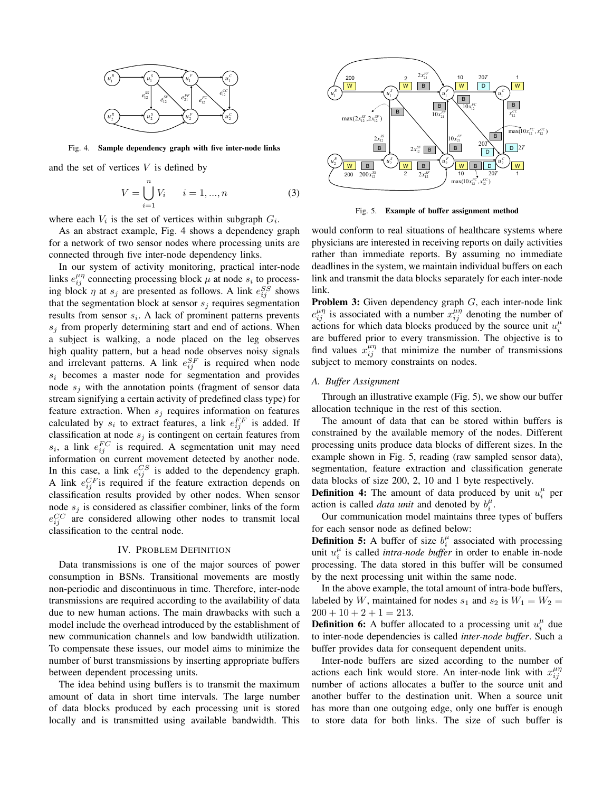

Fig. 4. Sample dependency graph with five inter-node links

and the set of vertices V is defined by

$$
V = \bigcup_{i=1}^{n} V_i \qquad i = 1, ..., n \tag{3}
$$

where each  $V_i$  is the set of vertices within subgraph  $G_i$ .

As an abstract example, Fig. 4 shows a dependency graph for a network of two sensor nodes where processing units are connected through five inter-node dependency links.

In our system of activity monitoring, practical inter-node links  $e_{ij}^{\mu\eta}$  connecting processing block  $\mu$  at node  $s_i$  to processing block  $\eta$  at  $s_j$  are presented as follows. A link  $e_{ij}^{SS}$  shows that the segmentation block at sensor  $s_j$  requires segmentation results from sensor  $s_i$ . A lack of prominent patterns prevents  $s_i$  from properly determining start and end of actions. When a subject is walking, a node placed on the leg observes high quality pattern, but a head node observes noisy signals and irrelevant patterns. A link  $e_{ij}^{SF}$  is required when node  $s_i$  becomes a master node for segmentation and provides node  $s_i$  with the annotation points (fragment of sensor data stream signifying a certain activity of predefined class type) for feature extraction. When  $s_j$  requires information on features calculated by  $s_i$  to extract features, a link  $e_{ij}^{FF}$  is added. If classification at node  $s_j$  is contingent on certain features from  $s_i$ , a link  $e_{ij}^{FC}$  is required. A segmentation unit may need information on current movement detected by another node. In this case, a link  $e_{ij}^{CS}$  is added to the dependency graph. A link  $e_{ij}^{CF}$  is required if the feature extraction depends on classification results provided by other nodes. When sensor node  $s_i$  is considered as classifier combiner, links of the form  $e^{CC}_{ij}$  are considered allowing other nodes to transmit local classification to the central node.

## IV. PROBLEM DEFINITION

Data transmissions is one of the major sources of power consumption in BSNs. Transitional movements are mostly non-periodic and discontinuous in time. Therefore, inter-node transmissions are required according to the availability of data due to new human actions. The main drawbacks with such a model include the overhead introduced by the establishment of new communication channels and low bandwidth utilization. To compensate these issues, our model aims to minimize the number of burst transmissions by inserting appropriate buffers between dependent processing units.

The idea behind using buffers is to transmit the maximum amount of data in short time intervals. The large number of data blocks produced by each processing unit is stored locally and is transmitted using available bandwidth. This



Fig. 5. Example of buffer assignment method

would conform to real situations of healthcare systems where physicians are interested in receiving reports on daily activities rather than immediate reports. By assuming no immediate deadlines in the system, we maintain individual buffers on each link and transmit the data blocks separately for each inter-node link.

Problem 3: Given dependency graph G, each inter-node link  $e_{ij}^{\mu\eta}$  is associated with a number  $x_{ij}^{\mu\eta}$  denoting the number of actions for which data blocks produced by the source unit  $u_i^{\mu}$ are buffered prior to every transmission. The objective is to find values  $x_{ij}^{\mu\eta}$  that minimize the number of transmissions subject to memory constraints on nodes.

## *A. Buffer Assignment*

Through an illustrative example (Fig. 5), we show our buffer allocation technique in the rest of this section.

The amount of data that can be stored within buffers is constrained by the available memory of the nodes. Different processing units produce data blocks of different sizes. In the example shown in Fig. 5, reading (raw sampled sensor data), segmentation, feature extraction and classification generate data blocks of size 200, 2, 10 and 1 byte respectively.

**Definition 4:** The amount of data produced by unit  $u_i^{\mu}$  per action is called *data unit* and denoted by  $b_i^{\mu}$ .

Our communication model maintains three types of buffers for each sensor node as defined below:

**Definition 5:** A buffer of size  $b_i^{\mu}$  associated with processing unit  $u_i^{\mu}$  is called *intra-node buffer* in order to enable in-node processing. The data stored in this buffer will be consumed by the next processing unit within the same node.

In the above example, the total amount of intra-bode buffers, labeled by W, maintained for nodes  $s_1$  and  $s_2$  is  $W_1 = W_2$  =  $200 + 10 + 2 + 1 = 213.$ 

**Definition 6:** A buffer allocated to a processing unit  $u_i^{\mu}$  due to inter-node dependencies is called *inter-node buffer*. Such a buffer provides data for consequent dependent units.

Inter-node buffers are sized according to the number of actions each link would store. An inter-node link with  $x_{ij}^{\mu\eta}$ number of actions allocates a buffer to the source unit and another buffer to the destination unit. When a source unit has more than one outgoing edge, only one buffer is enough to store data for both links. The size of such buffer is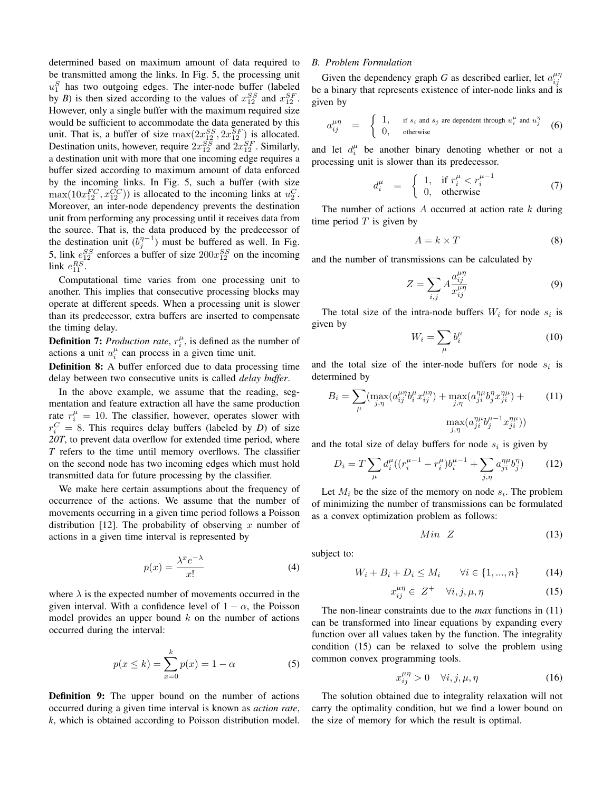determined based on maximum amount of data required to be transmitted among the links. In Fig. 5, the processing unit  $u_1^S$  has two outgoing edges. The inter-node buffer (labeled by *B*) is then sized according to the values of  $x_{12}^{SS}$  and  $x_{12}^{SF}$ . However, only a single buffer with the maximum required size would be sufficient to accommodate the data generated by this unit. That is, a buffer of size  $\max(2x_{12}^{SS}, 2x_{12}^{SF})$  is allocated.<br>Destination units however require  $2x_{12}^{SS}$  and  $2x_{12}^{SF}$ . Similarly Destination units, however, require  $2x_{12}^{SS}$  and  $2x_{12}^{SF}$ . Similarly, a destination unit with more that one incoming edge requires a buffer sized according to maximum amount of data enforced by the incoming links. In Fig. 5, such a buffer (with size  $\max(10x_{12}^{FC}, x_{12}^{CC})$  is allocated to the incoming links at  $u_2^C$ .<br>Moreover an inter-node dependency prevents the destination Moreover, an inter-node dependency prevents the destination unit from performing any processing until it receives data from the source. That is, the data produced by the predecessor of the destination unit  $(b_i^{\eta-1})$  $j^{(\eta-1)}$  must be buffered as well. In Fig. 5, link  $e_{12}^{SS}$  enforces a buffer of size  $200x_{12}^{SS}$  on the incoming link  $e^{RS}$  $\text{link } e_{11}^{RS}$ .

Computational time varies from one processing unit to another. This implies that consecutive processing blocks may operate at different speeds. When a processing unit is slower than its predecessor, extra buffers are inserted to compensate the timing delay.

**Definition 7:** *Production rate*,  $r_i^{\mu}$ , is defined as the number of actions a unit  $u_i^{\mu}$  can process in a given time unit.

Definition 8: A buffer enforced due to data processing time delay between two consecutive units is called *delay buffer*.

In the above example, we assume that the reading, segmentation and feature extraction all have the same production rate  $r_i^{\mu} = 10$ . The classifier, however, operates slower with  $r^C = 8$ . This requires delay buffers (labeled by D) of size  $r_i^C = 8$ . This requires delay buffers (labeled by *D*) of size<br>20T to prevent data overflow for extended time period, where *20T*, to prevent data overflow for extended time period, where *T* refers to the time until memory overflows. The classifier on the second node has two incoming edges which must hold transmitted data for future processing by the classifier.

We make here certain assumptions about the frequency of occurrence of the actions. We assume that the number of movements occurring in a given time period follows a Poisson distribution [12]. The probability of observing x number of actions in a given time interval is represented by

$$
p(x) = \frac{\lambda^x e^{-\lambda}}{x!}
$$
 (4)

where  $\lambda$  is the expected number of movements occurred in the given interval. With a confidence level of  $1 - \alpha$ , the Poisson model provides an upper bound  $k$  on the number of actions occurred during the interval:

$$
p(x \le k) = \sum_{x=0}^{k} p(x) = 1 - \alpha
$$
 (5)

Definition 9: The upper bound on the number of actions occurred during a given time interval is known as *action rate*, *k*, which is obtained according to Poisson distribution model.

## *B. Problem Formulation*

Given the dependency graph *G* as described earlier, let  $a_{ij}^{\mu\eta}$ be a binary that represents existence of inter-node links and is given by

$$
a_{ij}^{\mu\eta} = \begin{cases} 1, & \text{if } s_i \text{ and } s_j \text{ are dependent through } u_i^{\mu} \text{ and } u_j^{\eta} \\ 0, & \text{otherwise} \end{cases}
$$
 (6)

and let  $d_i^{\mu}$  be another binary denoting whether or not a processing unit is slower than its predecessor.

$$
d_i^{\mu} = \begin{cases} 1, & \text{if } r_i^{\mu} < r_i^{\mu-1} \\ 0, & \text{otherwise} \end{cases}
$$
 (7)

The number of actions  $A$  occurred at action rate  $k$  during time period  $T$  is given by

$$
A = k \times T \tag{8}
$$

and the number of transmissions can be calculated by

$$
Z = \sum_{i,j} A \frac{a_{ij}^{\mu \eta}}{x_{ij}^{\mu \eta}} \tag{9}
$$

The total size of the intra-node buffers  $W_i$  for node  $s_i$  is given by

$$
W_i = \sum_{\mu} b_i^{\mu} \tag{10}
$$

and the total size of the inter-node buffers for node  $s_i$  is determined by

$$
B_i = \sum_{\mu} \left( \max_{j,\eta} (a_{ij}^{\mu\eta} b_i^{\mu} x_{ij}^{\mu\eta}) + \max_{j,\eta} (a_{ji}^{\eta\mu} b_j^{\eta} x_{ji}^{\eta\mu}) + \max_{j,\eta} (a_{ji}^{\eta\mu} b_j^{\mu-1} x_{ji}^{\eta\mu}) \right)
$$
(11)

and the total size of delay buffers for node  $s_i$  is given by

$$
D_i = T \sum_{\mu} d_i^{\mu} \left( \left( r_i^{\mu - 1} - r_i^{\mu} \right) b_i^{\mu - 1} + \sum_{j,\eta} a_{ji}^{\eta \mu} b_j^{\eta} \right) \tag{12}
$$

Let  $M_i$  be the size of the memory on node  $s_i$ . The problem of minimizing the number of transmissions can be formulated as a convex optimization problem as follows:

$$
Min \tZ \t(13)
$$

subject to:

$$
W_i + B_i + D_i \le M_i \qquad \forall i \in \{1, ..., n\}
$$
 (14)

$$
x_{ij}^{\mu\eta} \in Z^+ \quad \forall i, j, \mu, \eta \tag{15}
$$

The non-linear constraints due to the *max* functions in (11) can be transformed into linear equations by expanding every function over all values taken by the function. The integrality condition (15) can be relaxed to solve the problem using common convex programming tools.

$$
x_{ij}^{\mu\eta} > 0 \quad \forall i, j, \mu, \eta \tag{16}
$$

The solution obtained due to integrality relaxation will not carry the optimality condition, but we find a lower bound on the size of memory for which the result is optimal.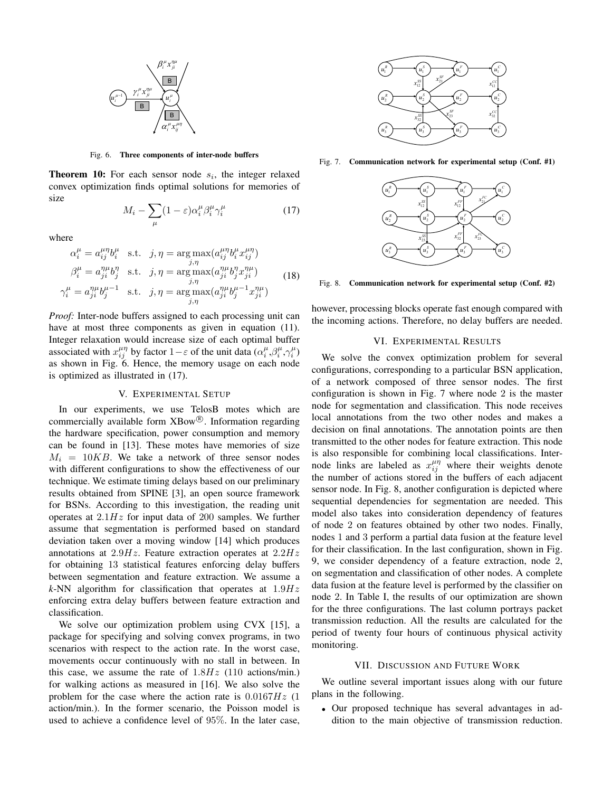

Fig. 6. Three components of inter-node buffers

**Theorem 10:** For each sensor node  $s_i$ , the integer relaxed convex optimization finds optimal solutions for memories of size

$$
M_i - \sum_{\mu} (1 - \varepsilon) \alpha_i^{\mu} \beta_i^{\mu} \gamma_i^{\mu} \tag{17}
$$

where

$$
\alpha_i^{\mu} = a_{ij}^{\mu \eta} b_i^{\mu} \quad \text{s.t.} \quad j, \eta = \arg \max_{j, \eta} (a_{ij}^{\mu \eta} b_i^{\mu} x_{ij}^{\mu \eta})
$$
  

$$
\beta_i^{\mu} = a_{ji}^{\eta \mu} b_j^{\eta} \quad \text{s.t.} \quad j, \eta = \arg \max_{j, \eta} (a_{ji}^{\eta \mu} b_j^{\eta} x_{ji}^{\eta \mu})
$$
  

$$
\gamma_i^{\mu} = a_{ji}^{\eta \mu} b_j^{\mu - 1} \quad \text{s.t.} \quad j, \eta = \arg \max_{j, \eta} (a_{ji}^{\eta \mu} b_j^{\mu - 1} x_{ji}^{\eta \mu})
$$
 (18)

*Proof:* Inter-node buffers assigned to each processing unit can have at most three components as given in equation (11). Integer relaxation would increase size of each optimal buffer associated with  $x_{ij}^{\mu\eta}$  by factor  $1-\varepsilon$  of the unit data  $(\alpha_i^{\mu}, \beta_i^{\mu}, \gamma_i^{\mu})$ as shown in Fig. 6. Hence, the memory usage on each node is optimized as illustrated in (17).

#### V. EXPERIMENTAL SETUP

In our experiments, we use TelosB motes which are commercially available form XBow<sup>®</sup>. Information regarding the hardware specification, power consumption and memory can be found in [13]. These motes have memories of size  $M_i = 10KB$ . We take a network of three sensor nodes with different configurations to show the effectiveness of our technique. We estimate timing delays based on our preliminary results obtained from SPINE [3], an open source framework for BSNs. According to this investigation, the reading unit operates at  $2.1Hz$  for input data of 200 samples. We further assume that segmentation is performed based on standard deviation taken over a moving window [14] which produces annotations at  $2.9Hz$ . Feature extraction operates at  $2.2Hz$ for obtaining 13 statistical features enforcing delay buffers between segmentation and feature extraction. We assume a  $k$ -NN algorithm for classification that operates at  $1.9Hz$ enforcing extra delay buffers between feature extraction and classification.

We solve our optimization problem using CVX [15], a package for specifying and solving convex programs, in two scenarios with respect to the action rate. In the worst case, movements occur continuously with no stall in between. In this case, we assume the rate of  $1.8Hz$  (110 actions/min.) for walking actions as measured in [16]. We also solve the problem for the case where the action rate is  $0.0167Hz$  (1) action/min.). In the former scenario, the Poisson model is used to achieve a confidence level of 95%. In the later case,



Fig. 7. Communication network for experimental setup (Conf. #1)



Fig. 8. Communication network for experimental setup (Conf. #2)

however, processing blocks operate fast enough compared with the incoming actions. Therefore, no delay buffers are needed.

## VI. EXPERIMENTAL RESULTS

We solve the convex optimization problem for several configurations, corresponding to a particular BSN application, of a network composed of three sensor nodes. The first configuration is shown in Fig. 7 where node 2 is the master node for segmentation and classification. This node receives local annotations from the two other nodes and makes a decision on final annotations. The annotation points are then transmitted to the other nodes for feature extraction. This node is also responsible for combining local classifications. Internode links are labeled as  $x_{ij}^{\mu\eta}$  where their weights denote the number of actions stored in the buffers of each adjacent sensor node. In Fig. 8, another configuration is depicted where sequential dependencies for segmentation are needed. This model also takes into consideration dependency of features of node 2 on features obtained by other two nodes. Finally, nodes 1 and 3 perform a partial data fusion at the feature level for their classification. In the last configuration, shown in Fig. 9, we consider dependency of a feature extraction, node 2, on segmentation and classification of other nodes. A complete data fusion at the feature level is performed by the classifier on node 2. In Table I, the results of our optimization are shown for the three configurations. The last column portrays packet transmission reduction. All the results are calculated for the period of twenty four hours of continuous physical activity monitoring.

### VII. DISCUSSION AND FUTURE WORK

We outline several important issues along with our future plans in the following.

• Our proposed technique has several advantages in addition to the main objective of transmission reduction.